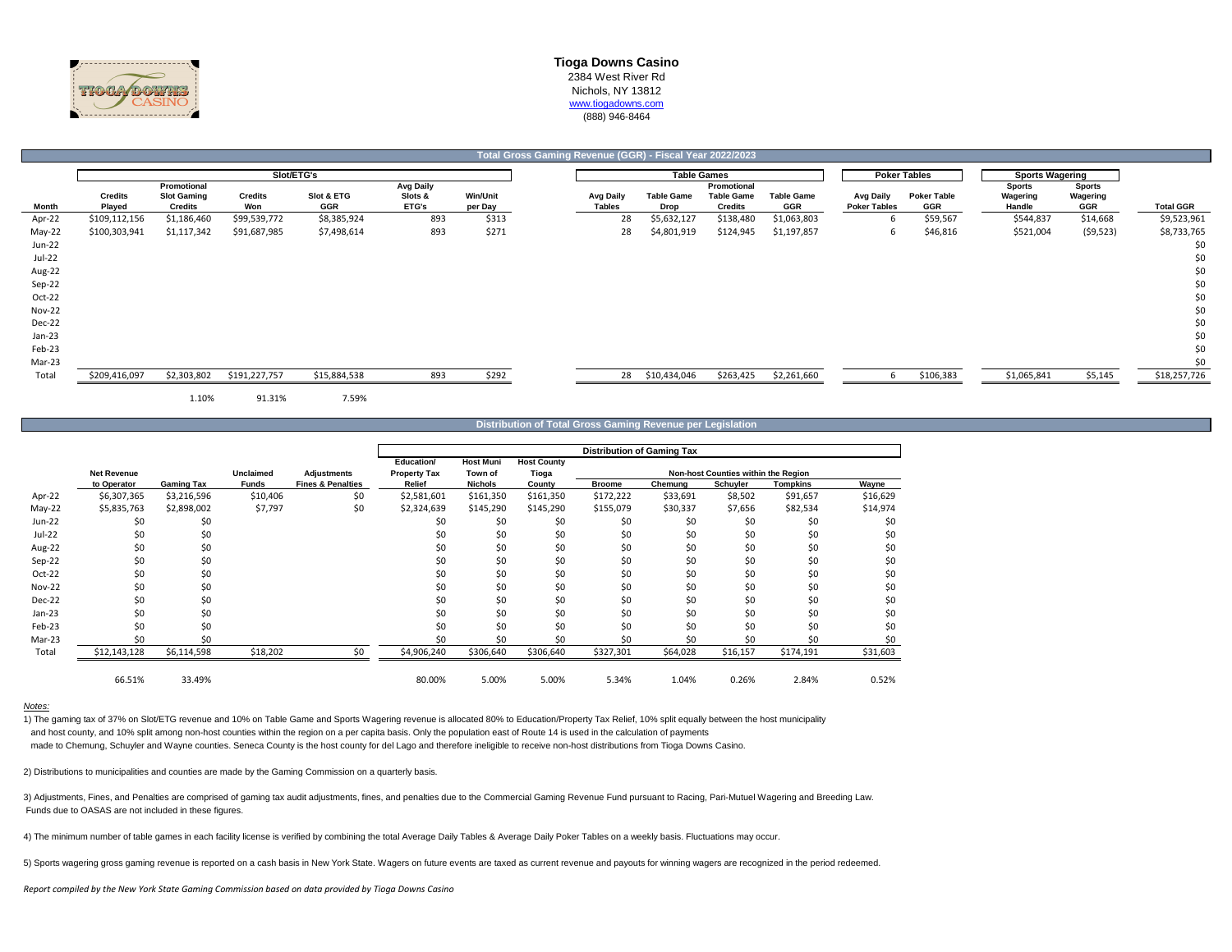

## **Total Gross Gaming Revenue (GGR) - Fiscal Year 2022/2023**

|               |                |                    |                | Slot/ETG's   |                  |                 |               | <b>Table Games</b> |                   |                   |                     | <b>Poker Tables</b> | <b>Sports Wagering</b> |               |                  |
|---------------|----------------|--------------------|----------------|--------------|------------------|-----------------|---------------|--------------------|-------------------|-------------------|---------------------|---------------------|------------------------|---------------|------------------|
|               |                | Promotional        |                |              | <b>Avg Daily</b> |                 |               |                    | Promotional       |                   |                     |                     | <b>Sports</b>          | <b>Sports</b> |                  |
|               | <b>Credits</b> | <b>Slot Gaming</b> | <b>Credits</b> | Slot & ETG   | Slots &          | <b>Win/Unit</b> | Avg Daily     | <b>Table Game</b>  | <b>Table Game</b> | <b>Table Game</b> | <b>Avg Daily</b>    | <b>Poker Table</b>  | Wagering               | Wagering      |                  |
| Month         | Played         | <b>Credits</b>     | Won            | GGR          | ETG's            | per Day         | <b>Tables</b> | Drop               | <b>Credits</b>    | <b>GGR</b>        | <b>Poker Tables</b> | GGR                 | Handle                 | GGR           | <b>Total GGR</b> |
| Apr-22        | \$109,112,156  | \$1,186,460        | \$99,539,772   | \$8,385,924  | 893              | \$313           | 28            | \$5,632,127        | \$138,480         | \$1,063,803       | h                   | \$59,567            | \$544,837              | \$14,668      | \$9,523,961      |
| May-22        | \$100,303,941  | \$1,117,342        | \$91,687,985   | \$7,498,614  | 893              | \$271           | 28            | \$4,801,919        | \$124,945         | \$1,197,857       | b                   | \$46,816            | \$521,004              | (59, 523)     | \$8,733,765      |
| Jun-22        |                |                    |                |              |                  |                 |               |                    |                   |                   |                     |                     |                        |               | \$0              |
| Jul-22        |                |                    |                |              |                  |                 |               |                    |                   |                   |                     |                     |                        |               | \$0              |
| Aug-22        |                |                    |                |              |                  |                 |               |                    |                   |                   |                     |                     |                        |               | \$0              |
| Sep-22        |                |                    |                |              |                  |                 |               |                    |                   |                   |                     |                     |                        |               | \$0              |
| Oct-22        |                |                    |                |              |                  |                 |               |                    |                   |                   |                     |                     |                        |               | \$0              |
| <b>Nov-22</b> |                |                    |                |              |                  |                 |               |                    |                   |                   |                     |                     |                        |               | \$0              |
| Dec-22        |                |                    |                |              |                  |                 |               |                    |                   |                   |                     |                     |                        |               | \$0              |
| Jan-23        |                |                    |                |              |                  |                 |               |                    |                   |                   |                     |                     |                        |               | \$0              |
| Feb-23        |                |                    |                |              |                  |                 |               |                    |                   |                   |                     |                     |                        |               | \$0              |
| Mar-23        |                |                    |                |              |                  |                 |               |                    |                   |                   |                     |                     |                        |               | \$0              |
| Total         | \$209,416,097  | \$2,303,802        | \$191,227,757  | \$15,884,538 | 893              | \$292           |               | 28 \$10,434,046    | \$263,425         | \$2,261,660       |                     | \$106,383           | \$1,065,841            | \$5,145       | \$18,257,726     |
|               |                | 1.10%              | 91.31%         | 7.59%        |                  |                 |               |                    |                   |                   |                     |                     |                        |               |                  |

**Distribution of Total Gross Gaming Revenue per Legislation**

|               |                    |                   |           |                              |                     |                  |                    | <b>Distribution of Gaming Tax</b> |          |                                     |                 |          |
|---------------|--------------------|-------------------|-----------|------------------------------|---------------------|------------------|--------------------|-----------------------------------|----------|-------------------------------------|-----------------|----------|
|               |                    |                   |           |                              | Education/          | <b>Host Muni</b> | <b>Host County</b> |                                   |          |                                     |                 |          |
|               | <b>Net Revenue</b> |                   | Unclaimed | Adjustments                  | <b>Property Tax</b> | Town of          | Tioga              |                                   |          | Non-host Counties within the Region |                 |          |
|               | to Operator        | <b>Gaming Tax</b> | Funds     | <b>Fines &amp; Penalties</b> | Relief              | <b>Nichols</b>   | County             | <b>Broome</b>                     | Chemung  | Schuyler                            | <b>Tompkins</b> | Wayne    |
| Apr-22        | \$6,307,365        | \$3,216,596       | \$10,406  | \$0                          | \$2,581,601         | \$161,350        | \$161,350          | \$172,222                         | \$33,691 | \$8,502                             | \$91,657        | \$16,629 |
| $May-22$      | \$5,835,763        | \$2,898,002       | \$7,797   | \$0                          | \$2,324,639         | \$145,290        | \$145,290          | \$155,079                         | \$30,337 | \$7,656                             | \$82,534        | \$14,974 |
| Jun-22        | \$0                | \$0               |           |                              | \$0                 | \$0              | \$0                | \$0                               | \$0      | \$0                                 | \$0             | \$0      |
| Jul-22        | \$0                | \$0               |           |                              | \$0                 | \$0              | \$0                | \$0                               | \$0      | \$0                                 | \$0             | \$0      |
| Aug-22        | \$0                | \$0               |           |                              | \$0                 | \$0              | \$0                | \$0                               | \$0      | \$0                                 | \$0             | \$0      |
| Sep-22        | \$0                | \$0               |           |                              | \$0                 | \$0              | \$0                | \$0                               | \$0      | \$0                                 | \$0             | \$0      |
| Oct-22        | \$0                | \$0               |           |                              | \$0                 | \$0              | \$0                | \$0                               | \$0      | \$0                                 | \$0             | \$0      |
| <b>Nov-22</b> | \$0                | \$0               |           |                              | \$0                 | \$0              | \$0                | \$0                               | \$0      | \$0                                 | \$0             | \$0      |
| Dec-22        | \$0                | \$0               |           |                              | Ś0                  | \$0              | \$0                | \$0                               | \$0      | \$0                                 | \$0             | \$0      |
| $Jan-23$      | \$0                | \$0               |           |                              | \$0                 | \$0              | \$0                | \$0                               | \$0      | \$0                                 | \$0             | \$0      |
| Feb-23        | \$0                | \$0               |           |                              | \$0                 | \$0              | \$0                | \$0                               | \$0      | \$0                                 | \$0             | \$0      |
| Mar-23        | Ś0                 | \$0               |           |                              | \$0                 | \$0              | \$0                | \$0                               | \$0      | \$0                                 | \$0             | \$0      |
| Total         | \$12,143,128       | \$6,114,598       | \$18,202  | \$0                          | \$4,906,240         | \$306,640        | \$306,640          | \$327,301                         | \$64,028 | \$16,157                            | \$174,191       | \$31,603 |
|               | 66.51%             | 33.49%            |           |                              | 80.00%              | 5.00%            | 5.00%              | 5.34%                             | 1.04%    | 0.26%                               | 2.84%           | 0.52%    |

#### *Notes:*

1) The gaming tax of 37% on Slot/ETG revenue and 10% on Table Game and Sports Wagering revenue is allocated 80% to Education/Property Tax Relief, 10% split equally between the host municipality and host county, and 10% split among non-host counties within the region on a per capita basis. Only the population east of Route 14 is used in the calculation of payments made to Chemung, Schuyler and Wayne counties. Seneca County is the host county for del Lago and therefore ineligible to receive non-host distributions from Tioga Downs Casino.

2) Distributions to municipalities and counties are made by the Gaming Commission on a quarterly basis.

3) Adjustments, Fines, and Penalties are comprised of gaming tax audit adjustments, fines, and penalties due to the Commercial Gaming Revenue Fund pursuant to Racing, Pari-Mutuel Wagering and Breeding Law. Funds due to OASAS are not included in these figures.

4) The minimum number of table games in each facility license is verified by combining the total Average Daily Tables & Average Daily Poker Tables on a weekly basis. Fluctuations may occur.

5) Sports wagering gross gaming revenue is reported on a cash basis in New York State. Wagers on future events are taxed as current revenue and payouts for winning wagers are recognized in the period redeemed.

*Report compiled by the New York State Gaming Commission based on data provided by Tioga Downs Casino*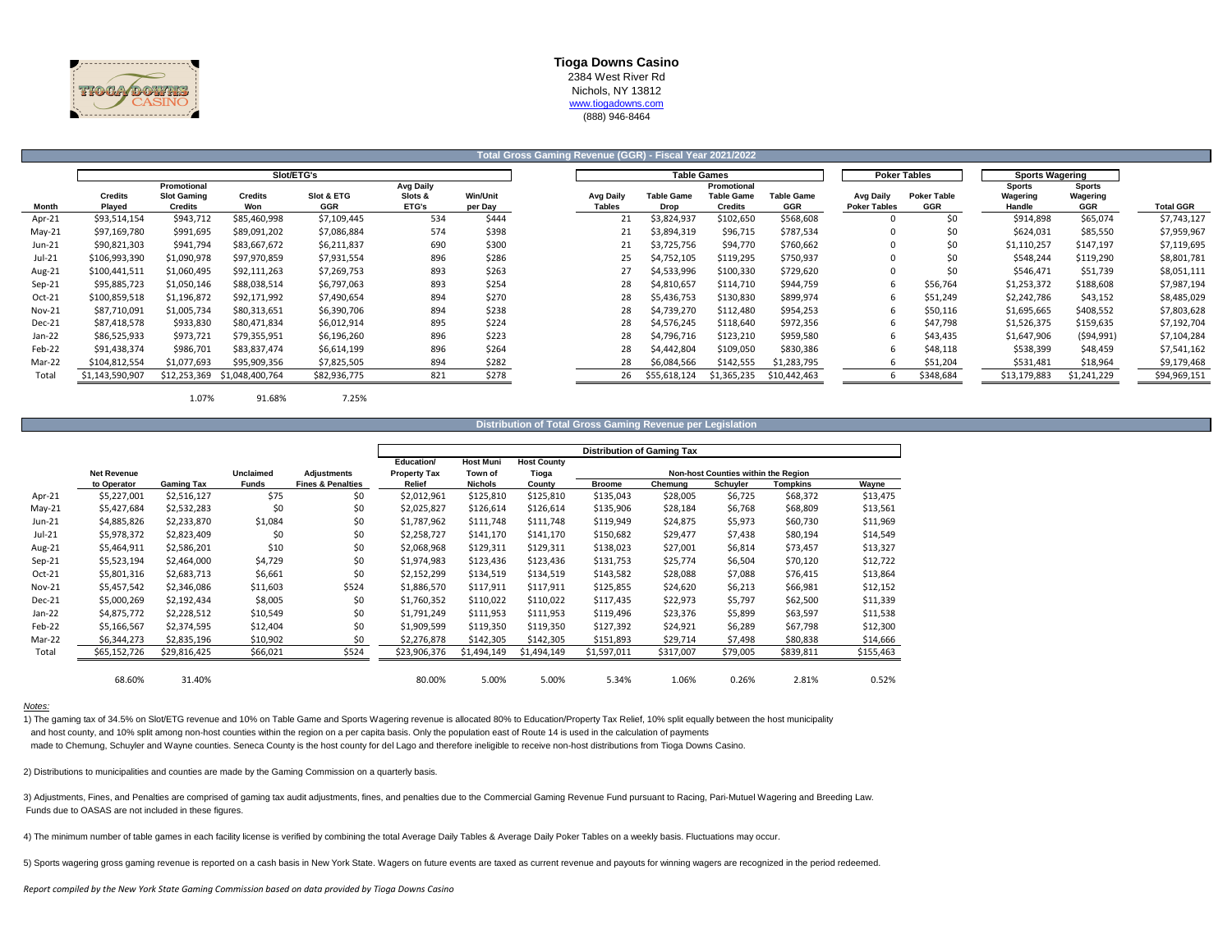

**Total Gross Gaming Revenue (GGR) - Fiscal Year 2021/2022**

|               |                          |                               |                       | Slot/ETG's        |                  |                            |                                   |                           | <b>Table Games</b>                  |                          |                                  | <b>Poker Tables</b>       | <b>Sports Wagering</b> |                        |  |
|---------------|--------------------------|-------------------------------|-----------------------|-------------------|------------------|----------------------------|-----------------------------------|---------------------------|-------------------------------------|--------------------------|----------------------------------|---------------------------|------------------------|------------------------|--|
|               |                          | Promotional                   |                       |                   | <b>Avg Daily</b> |                            |                                   |                           | Promotional                         |                          |                                  |                           | <b>Sports</b>          | <b>Sports</b>          |  |
| Month         | <b>Credits</b><br>Plaved | <b>Slot Gaming</b><br>Credits | <b>Credits</b><br>Won | Slot & ETG<br>GGR | Slots &<br>ETG's | <b>Win/Unit</b><br>per Day | <b>Avg Daily</b><br><b>Tables</b> | <b>Table Game</b><br>Drop | <b>Table Game</b><br><b>Credits</b> | <b>Table Game</b><br>GGR | Avg Daily<br><b>Poker Tables</b> | <b>Poker Table</b><br>GGR | Wagering<br>Handle     | Wagering<br><b>GGR</b> |  |
| Apr-21        | \$93,514,154             | \$943,712                     | \$85,460,998          | \$7,109,445       | 534              | \$444                      |                                   | \$3,824,937               | \$102,650                           | \$568,608                |                                  | \$0                       | \$914,898              | \$65,074               |  |
| $May-21$      | \$97,169,780             | \$991,695                     | \$89,091,202          | \$7,086,884       | 574              | \$398                      |                                   | \$3,894,319               | \$96,715                            | \$787,534                |                                  | \$0                       | \$624,031              | \$85,550               |  |
| Jun-21        | \$90,821,303             | \$941,794                     | \$83,667,672          | \$6,211,837       | 690              | \$300                      |                                   | \$3,725,756               | \$94,770                            | \$760,662                |                                  | \$C                       | \$1,110,257            | \$147,197              |  |
| Jul-21        | \$106,993,390            | \$1,090,978                   | \$97,970,859          | \$7,931,554       | 896              | \$286                      | 25                                | \$4,752,105               | \$119,295                           | \$750,937                |                                  | \$C                       | \$548,244              | \$119,290              |  |
| Aug-21        | \$100,441,511            | \$1,060,495                   | \$92,111,263          | \$7,269,753       | 893              | \$263                      |                                   | \$4,533,996               | \$100,330                           | \$729,620                |                                  | \$0                       | \$546,471              | \$51,739               |  |
| $Sep-21$      | \$95,885,723             | \$1,050,146                   | \$88,038,514          | \$6,797,063       | 893              | \$254                      | 28                                | \$4,810,657               | \$114,710                           | \$944,759                |                                  | \$56,764                  | \$1,253,372            | \$188,608              |  |
| Oct-21        | \$100,859,518            | \$1,196,872                   | \$92,171,992          | \$7,490,654       | 894              | \$270                      | 28                                | \$5,436,753               | \$130,830                           | \$899,974                |                                  | \$51,249                  | \$2,242,786            | \$43,152               |  |
| <b>Nov-21</b> | \$87,710,091             | \$1,005,734                   | \$80,313,651          | \$6,390,706       | 894              | \$238                      | 28                                | \$4,739,270               | \$112,480                           | \$954,253                |                                  | \$50,116                  | \$1,695,665            | \$408,552              |  |
| Dec-21        | \$87,418,578             | \$933,830                     | \$80,471,834          | \$6,012,914       | 895              | \$224                      | 28                                | \$4,576,245               | \$118,640                           | \$972,356                | 6                                | \$47,798                  | \$1,526,375            | \$159,635              |  |
| $Jan-22$      | \$86,525,933             | \$973,721                     | \$79,355,951          | \$6,196,260       | 896              | \$223                      | 28                                | \$4,796,716               | \$123,210                           | \$959,580                | 6                                | \$43,435                  | \$1,647,906            | (594, 991)             |  |
| Feb-22        | \$91,438,374             | \$986,701                     | \$83,837,474          | \$6,614,199       | 896              | \$264                      | 28                                | \$4,442,804               | \$109,050                           | \$830,386                | 6                                | \$48,118                  | \$538,399              | \$48,459               |  |
| Mar-22        | \$104,812,554            | \$1,077,693                   | \$95,909,356          | \$7,825,505       | 894              | \$282                      | 28                                | \$6,084,566               | \$142,555                           | \$1,283,795              |                                  | \$51,204                  | \$531,481              | \$18,964               |  |
| Total         | \$1,143,590,907          | \$12,253,369                  | \$1,048,400,764       | \$82,936,775      | 821              | \$278                      | 26                                | \$55,618,124              | \$1,365,235                         | \$10,442,463             |                                  | \$348,684                 | \$13,179,883           | \$1,241,229            |  |

#### **Distribution of Total Gross Gaming Revenue per Legislation**

|               |                    |                   |                  |                              |                     |                  |                    |               | Distribution of Gaming Tax |                                     |           |           |
|---------------|--------------------|-------------------|------------------|------------------------------|---------------------|------------------|--------------------|---------------|----------------------------|-------------------------------------|-----------|-----------|
|               |                    |                   |                  |                              | Education/          | <b>Host Muni</b> | <b>Host County</b> |               |                            |                                     |           |           |
|               | <b>Net Revenue</b> |                   | <b>Unclaimed</b> | <b>Adjustments</b>           | <b>Property Tax</b> | Town of          | Tioga              |               |                            | Non-host Counties within the Region |           |           |
|               | to Operator        | <b>Gaming Tax</b> | <b>Funds</b>     | <b>Fines &amp; Penalties</b> | Relief              | <b>Nichols</b>   | County             | <b>Broome</b> | Chemung                    | Schuyler                            | Tompkins  | Wayne     |
| Apr-21        | \$5,227,001        | \$2,516,127       | \$75             | \$0                          | \$2,012,961         | \$125,810        | \$125,810          | \$135,043     | \$28,005                   | \$6,725                             | \$68,372  | \$13,475  |
| $May-21$      | \$5,427,684        | \$2,532,283       | \$0              | \$0                          | \$2,025,827         | \$126,614        | \$126,614          | \$135,906     | \$28,184                   | \$6,768                             | \$68,809  | \$13,561  |
| Jun-21        | \$4,885,826        | \$2,233,870       | \$1,084          | \$0                          | \$1,787,962         | \$111,748        | \$111,748          | \$119,949     | \$24,875                   | \$5,973                             | \$60,730  | \$11,969  |
| Jul-21        | \$5,978,372        | \$2,823,409       | \$0              | \$0                          | \$2,258,727         | \$141,170        | \$141,170          | \$150,682     | \$29,477                   | \$7,438                             | \$80,194  | \$14,549  |
| Aug-21        | \$5,464,911        | \$2,586,201       | \$10             | \$0                          | \$2,068,968         | \$129,311        | \$129,311          | \$138,023     | \$27,001                   | \$6,814                             | \$73,457  | \$13,327  |
| $Sep-21$      | \$5,523,194        | \$2,464,000       | \$4,729          | \$0                          | \$1,974,983         | \$123,436        | \$123,436          | \$131,753     | \$25,774                   | \$6,504                             | \$70,120  | \$12,722  |
| Oct-21        | \$5,801,316        | \$2,683,713       | \$6,661          | \$0                          | \$2,152,299         | \$134,519        | \$134,519          | \$143,582     | \$28,088                   | \$7,088                             | \$76,415  | \$13,864  |
| <b>Nov-21</b> | \$5,457,542        | \$2,346,086       | \$11,603         | \$524                        | \$1,886,570         | \$117,911        | \$117,911          | \$125,855     | \$24,620                   | \$6,213                             | \$66,981  | \$12,152  |
| Dec-21        | \$5,000,269        | \$2,192,434       | \$8,005          | \$0                          | \$1,760,352         | \$110,022        | \$110,022          | \$117,435     | \$22,973                   | \$5,797                             | \$62,500  | \$11,339  |
| $Jan-22$      | \$4,875,772        | \$2,228,512       | \$10,549         | \$0                          | \$1,791,249         | \$111,953        | \$111,953          | \$119,496     | \$23,376                   | \$5,899                             | \$63,597  | \$11,538  |
| Feb-22        | \$5,166,567        | \$2,374,595       | \$12,404         | \$0                          | \$1,909,599         | \$119,350        | \$119,350          | \$127,392     | \$24,921                   | \$6,289                             | \$67,798  | \$12,300  |
| Mar-22        | \$6,344,273        | \$2,835,196       | \$10,902         | \$0                          | \$2,276,878         | \$142,305        | \$142,305          | \$151,893     | \$29,714                   | \$7,498                             | \$80,838  | \$14,666  |
| Total         | \$65,152,726       | \$29,816,425      | \$66,021         | \$524                        | \$23,906,376        | \$1,494,149      | \$1,494,149        | \$1,597,011   | \$317,007                  | \$79,005                            | \$839,811 | \$155,463 |
|               | 68.60%             | 31.40%            |                  |                              | 80.00%              | 5.00%            | 5.00%              | 5.34%         | 1.06%                      | 0.26%                               | 2.81%     | 0.52%     |

*Notes:*

1) The gaming tax of 34.5% on Slot/ETG revenue and 10% on Table Game and Sports Wagering revenue is allocated 80% to Education/Property Tax Relief, 10% split equally between the host municipality and host county, and 10% split among non-host counties within the region on a per capita basis. Only the population east of Route 14 is used in the calculation of payments made to Chemung, Schuyler and Wayne counties. Seneca County is the host county for del Lago and therefore ineligible to receive non-host distributions from Tioga Downs Casino.

2) Distributions to municipalities and counties are made by the Gaming Commission on a quarterly basis.

3) Adjustments, Fines, and Penalties are comprised of gaming tax audit adjustments, fines, and penalties due to the Commercial Gaming Revenue Fund pursuant to Racing, Pari-Mutuel Wagering and Breeding Law. Funds due to OASAS are not included in these figures.

4) The minimum number of table games in each facility license is verified by combining the total Average Daily Tables & Average Daily Poker Tables on a weekly basis. Fluctuations may occur.

5) Sports wagering gross gaming revenue is reported on a cash basis in New York State. Wagers on future events are taxed as current revenue and payouts for winning wagers are recognized in the period redeemed.

*Report compiled by the New York State Gaming Commission based on data provided by Tioga Downs Casino*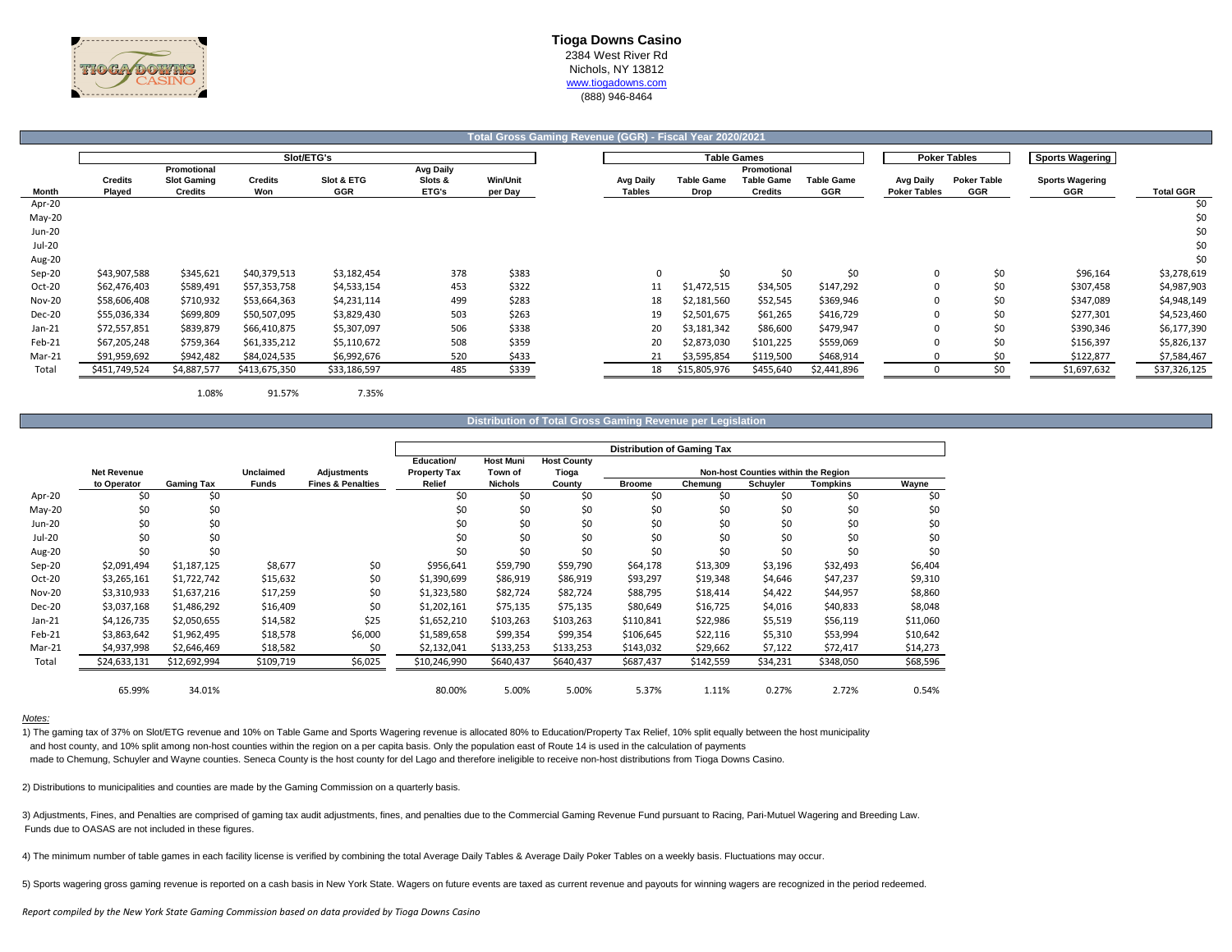

# **Tioga Downs Casino** 2384 West River Rd Nichols, NY 13812

### www.tiogadowns.com (888) 946-8464

|                  |                          |                                              |                       |                          |                                      |                            | Total Gross Gaming Revenue (GGR) - Fiscal Year 2020/2021 |                           |                                                    |                          |                                         |                           |                               |                  |
|------------------|--------------------------|----------------------------------------------|-----------------------|--------------------------|--------------------------------------|----------------------------|----------------------------------------------------------|---------------------------|----------------------------------------------------|--------------------------|-----------------------------------------|---------------------------|-------------------------------|------------------|
|                  |                          |                                              |                       | Slot/ETG's               |                                      |                            |                                                          |                           | <b>Table Games</b>                                 |                          |                                         | <b>Poker Tables</b>       | <b>Sports Wagering</b>        |                  |
| Month            | <b>Credits</b><br>Played | Promotional<br><b>Slot Gaming</b><br>Credits | <b>Credits</b><br>Won | Slot & ETG<br><b>GGR</b> | <b>Avg Daily</b><br>Slots &<br>ETG's | <b>Win/Unit</b><br>per Day | <b>Avg Daily</b><br><b>Tables</b>                        | <b>Table Game</b><br>Drop | Promotional<br><b>Table Game</b><br><b>Credits</b> | <b>Table Game</b><br>GGR | <b>Avg Daily</b><br><b>Poker Tables</b> | <b>Poker Table</b><br>GGR | <b>Sports Wagering</b><br>GGR | <b>Total GGR</b> |
| Apr-20           |                          |                                              |                       |                          |                                      |                            |                                                          |                           |                                                    |                          |                                         |                           |                               | \$0              |
| May-20<br>Jun-20 |                          |                                              |                       |                          |                                      |                            |                                                          |                           |                                                    |                          |                                         |                           |                               | \$0<br>\$0       |
| Jul-20           |                          |                                              |                       |                          |                                      |                            |                                                          |                           |                                                    |                          |                                         |                           |                               | \$0              |
| Aug-20           |                          |                                              |                       |                          |                                      |                            |                                                          |                           |                                                    |                          |                                         |                           |                               | \$0              |
| Sep-20           | \$43,907,588             | \$345,621                                    | \$40,379,513          | \$3,182,454              | 378                                  | \$383                      | 0                                                        | \$0                       | \$0                                                | \$0                      |                                         | \$0                       | \$96,164                      | \$3,278,619      |
| Oct-20           | \$62,476,403             | \$589,491                                    | \$57,353,758          | \$4,533,154              | 453                                  | \$322                      | 11                                                       | \$1,472,515               | \$34,505                                           | \$147,292                |                                         | \$0                       | \$307,458                     | \$4,987,903      |
| <b>Nov-20</b>    | \$58,606,408             | \$710,932                                    | \$53,664,363          | \$4,231,114              | 499                                  | \$283                      | 18                                                       | \$2,181,560               | \$52,545                                           | \$369,946                |                                         | \$0                       | \$347,089                     | \$4,948,149      |
| Dec-20           | \$55,036,334             | \$699,809                                    | \$50,507,095          | \$3,829,430              | 503                                  | \$263                      | 19                                                       | \$2,501,675               | \$61,265                                           | \$416,729                |                                         | \$0                       | \$277,301                     | \$4,523,460      |
| $Jan-21$         | \$72,557,851             | \$839,879                                    | \$66,410,875          | \$5,307,097              | 506                                  | \$338                      | 20                                                       | \$3,181,342               | \$86,600                                           | \$479,947                |                                         | \$0                       | \$390,346                     | \$6,177,390      |
| Feb-21           | \$67,205,248             | \$759,364                                    | \$61,335,212          | \$5,110,672              | 508                                  | \$359                      | 20                                                       | \$2,873,030               | \$101,225                                          | \$559,069                |                                         | \$0                       | \$156,397                     | \$5,826,137      |
| Mar-21           | \$91,959,692             | \$942,482                                    | \$84,024,535          | \$6,992,676              | 520                                  | \$433                      | 21                                                       | \$3,595,854               | \$119,500                                          | \$468,914                |                                         | ŚС                        | \$122,877                     | \$7,584,467      |
| Total            | \$451,749,524            | \$4,887,577                                  | \$413,675,350         | \$33,186,597             | 485                                  | \$339                      | 18                                                       | \$15,805,976              | \$455,640                                          | \$2,441,896              |                                         | Ś0                        | \$1,697,632                   | \$37,326,125     |
|                  |                          |                                              |                       |                          |                                      |                            |                                                          |                           |                                                    |                          |                                         |                           |                               |                  |

1.08% 91.57% 7.35%

#### **Distribution of Total Gross Gaming Revenue per Legislation**

|               |                    |                   |                  |                              |                     |                  |                    |               | <b>Distribution of Gaming Tax</b> |                                     |           |          |
|---------------|--------------------|-------------------|------------------|------------------------------|---------------------|------------------|--------------------|---------------|-----------------------------------|-------------------------------------|-----------|----------|
|               |                    |                   |                  |                              | Education/          | <b>Host Muni</b> | <b>Host County</b> |               |                                   |                                     |           |          |
|               | <b>Net Revenue</b> |                   | <b>Unclaimed</b> | Adjustments                  | <b>Property Tax</b> | Town of          | Tioga              |               |                                   | Non-host Counties within the Region |           |          |
|               | to Operator        | <b>Gaming Tax</b> | <b>Funds</b>     | <b>Fines &amp; Penalties</b> | Relief              | <b>Nichols</b>   | County             | <b>Broome</b> | Chemung                           | Schuyler                            | Tompkins  | Wayne    |
| Apr-20        | \$0                | \$0               |                  |                              | \$0                 | \$0              | \$0                | \$0           | \$0                               | \$0                                 | \$0       | \$0      |
| May-20        | \$0                | \$0               |                  |                              | \$0                 | \$0              | \$0                | \$0           | \$0                               | \$0                                 | \$0       | \$0      |
| Jun-20        | \$0                | \$0               |                  |                              | \$0                 | \$0              | \$0                | \$0           | \$0                               | \$0                                 | \$0       | \$0      |
| Jul-20        | \$0                | \$0               |                  |                              | \$0                 | \$0              | \$0                | \$0           | \$0                               | \$0                                 | \$0       | \$0      |
| Aug-20        | \$0                | \$0               |                  |                              | \$0                 | \$0              | \$0                | \$0           | \$0                               | \$0                                 | \$0       | \$0      |
| Sep-20        | \$2,091,494        | \$1,187,125       | \$8,677          | \$0                          | \$956,641           | \$59,790         | \$59,790           | \$64,178      | \$13,309                          | \$3,196                             | \$32,493  | \$6,404  |
| Oct-20        | \$3,265,161        | \$1,722,742       | \$15,632         | \$0                          | \$1,390,699         | \$86,919         | \$86,919           | \$93,297      | \$19,348                          | \$4,646                             | \$47,237  | \$9,310  |
| <b>Nov-20</b> | \$3,310,933        | \$1,637,216       | \$17,259         | \$0                          | \$1,323,580         | \$82,724         | \$82,724           | \$88,795      | \$18,414                          | \$4,422                             | \$44,957  | \$8,860  |
| <b>Dec-20</b> | \$3,037,168        | \$1,486,292       | \$16,409         | \$0                          | \$1,202,161         | \$75,135         | \$75,135           | \$80,649      | \$16,725                          | \$4,016                             | \$40,833  | \$8,048  |
| Jan-21        | \$4,126,735        | \$2,050,655       | \$14,582         | \$25                         | \$1,652,210         | \$103,263        | \$103,263          | \$110,841     | \$22,986                          | \$5,519                             | \$56,119  | \$11,060 |
| Feb-21        | \$3,863,642        | \$1,962,495       | \$18,578         | \$6,000                      | \$1,589,658         | \$99,354         | \$99,354           | \$106,645     | \$22,116                          | \$5,310                             | \$53,994  | \$10,642 |
| Mar-21        | \$4,937,998        | \$2,646,469       | \$18,582         | \$0                          | \$2,132,041         | \$133,253        | \$133,253          | \$143,032     | \$29,662                          | \$7,122                             | \$72,417  | \$14,273 |
| Total         | \$24,633,131       | \$12,692,994      | \$109,719        | \$6,025                      | \$10,246,990        | \$640,437        | \$640,437          | \$687,437     | \$142,559                         | \$34,231                            | \$348,050 | \$68,596 |
|               | 65.99%             | 34.01%            |                  |                              | 80.00%              | 5.00%            | 5.00%              | 5.37%         | 1.11%                             | 0.27%                               | 2.72%     | 0.54%    |

#### *Notes:*

1) The gaming tax of 37% on Slot/ETG revenue and 10% on Table Game and Sports Wagering revenue is allocated 80% to Education/Property Tax Relief, 10% split equally between the host municipality and host county, and 10% split among non-host counties within the region on a per capita basis. Only the population east of Route 14 is used in the calculation of payments made to Chemung, Schuyler and Wayne counties. Seneca County is the host county for del Lago and therefore ineligible to receive non-host distributions from Tioga Downs Casino.

2) Distributions to municipalities and counties are made by the Gaming Commission on a quarterly basis.

3) Adjustments, Fines, and Penalties are comprised of gaming tax audit adjustments, fines, and penalties due to the Commercial Gaming Revenue Fund pursuant to Racing, Pari-Mutuel Wagering and Breeding Law. Funds due to OASAS are not included in these figures.

4) The minimum number of table games in each facility license is verified by combining the total Average Daily Tables & Average Daily Poker Tables on a weekly basis. Fluctuations may occur.

5) Sports wagering gross gaming revenue is reported on a cash basis in New York State. Wagers on future events are taxed as current revenue and payouts for winning wagers are recognized in the period redeemed.

*Report compiled by the New York State Gaming Commission based on data provided by Tioga Downs Casino*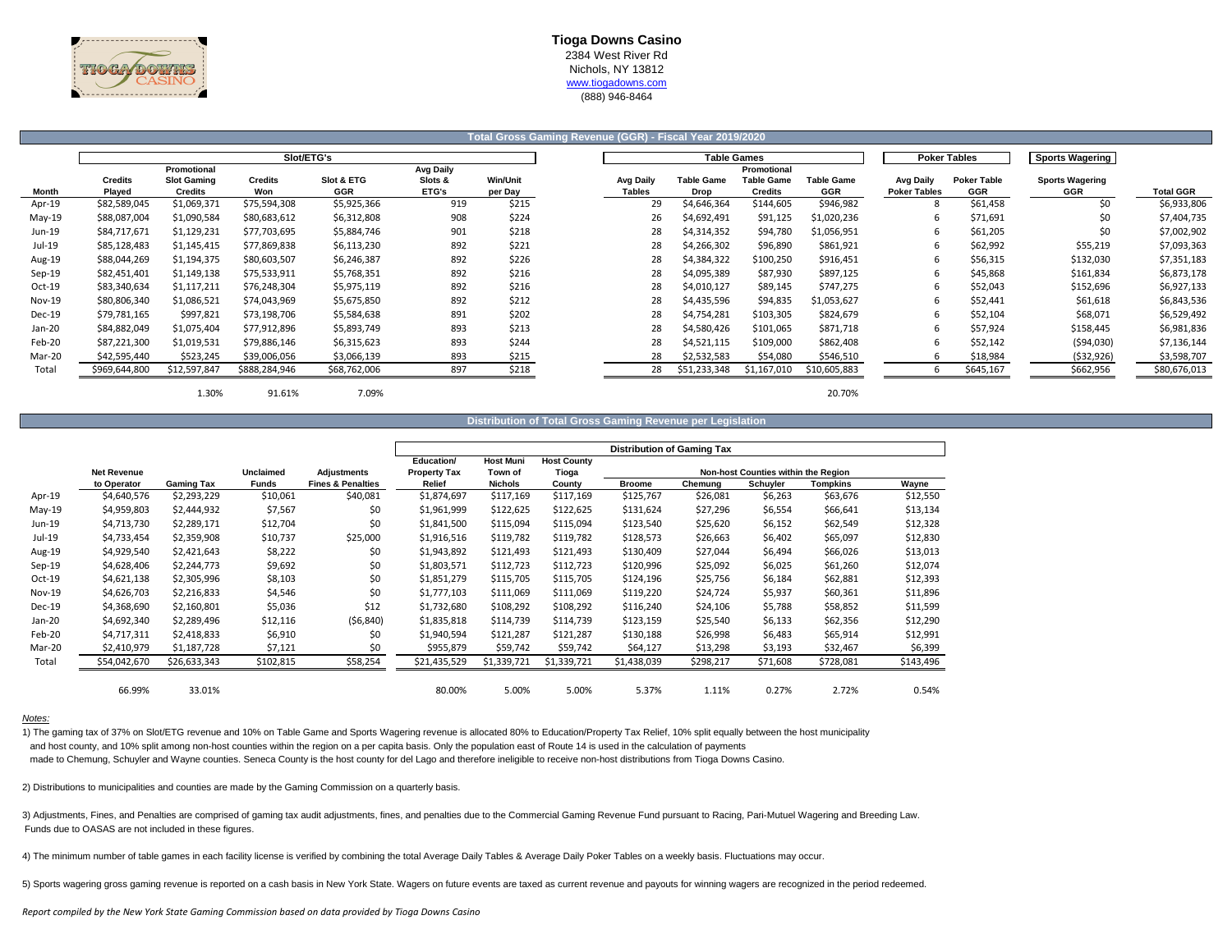

### **Tioga Downs Casino** 2384 West River Rd

Nichols, NY 13812

www.tiogadowns.com

(888) 946-8464

|               |                          |                                                     |                       |                          |                                      |                            | Total Gross Gaming Revenue (GGR) - Fiscal Year 2019/2020 |                           |                                                    |                                 |                                         |                           |                               |                  |
|---------------|--------------------------|-----------------------------------------------------|-----------------------|--------------------------|--------------------------------------|----------------------------|----------------------------------------------------------|---------------------------|----------------------------------------------------|---------------------------------|-----------------------------------------|---------------------------|-------------------------------|------------------|
|               |                          |                                                     | Slot/ETG's            |                          |                                      |                            |                                                          |                           | <b>Table Games</b>                                 |                                 |                                         | <b>Poker Tables</b>       | <b>Sports Wagering</b>        |                  |
| Month         | <b>Credits</b><br>Played | Promotional<br><b>Slot Gaming</b><br><b>Credits</b> | <b>Credits</b><br>Won | Slot & ETG<br><b>GGR</b> | <b>Avg Daily</b><br>Slots &<br>ETG's | <b>Win/Unit</b><br>per Day | <b>Avg Daily</b><br><b>Tables</b>                        | <b>Table Game</b><br>Drop | Promotional<br><b>Table Game</b><br><b>Credits</b> | <b>Table Game</b><br><b>GGR</b> | <b>Avg Daily</b><br><b>Poker Tables</b> | <b>Poker Table</b><br>GGR | <b>Sports Wagering</b><br>GGR | <b>Total GGR</b> |
| Apr-19        | \$82,589,045             | \$1,069,371                                         | \$75,594,308          | \$5,925,366              | 919                                  | \$215                      | 29                                                       | \$4,646,364               | \$144,605                                          | \$946,982                       |                                         | \$61,458                  | \$0                           | \$6,933,806      |
| May-19        | \$88,087,004             | \$1,090,584                                         | \$80,683,612          | \$6,312,808              | 908                                  | \$224                      | 26                                                       | \$4,692,491               | \$91,125                                           | \$1,020,236                     | 6                                       | \$71,691                  | \$0                           | \$7,404,735      |
| Jun-19        | \$84,717,671             | \$1,129,231                                         | \$77,703,695          | \$5,884,746              | 901                                  | \$218                      | 28                                                       | \$4,314,352               | \$94,780                                           | \$1,056,951                     | -6                                      | \$61,205                  | \$0                           | \$7,002,902      |
| Jul-19        | \$85,128,483             | \$1,145,415                                         | \$77,869,838          | \$6,113,230              | 892                                  | \$221                      | 28                                                       | \$4,266,302               | \$96,890                                           | \$861,921                       | -6                                      | \$62,992                  | \$55,219                      | \$7,093,363      |
| Aug-19        | \$88,044,269             | \$1,194,375                                         | \$80,603,507          | \$6,246,387              | 892                                  | \$226                      | 28                                                       | \$4,384,322               | \$100,250                                          | \$916,451                       | 6                                       | \$56,315                  | \$132,030                     | \$7,351,183      |
| Sep-19        | \$82,451,401             | \$1,149,138                                         | \$75,533,911          | \$5,768,351              | 892                                  | \$216                      | 28                                                       | \$4,095,389               | \$87,930                                           | \$897,125                       | 6                                       | \$45,868                  | \$161,834                     | \$6,873,178      |
| $Oct-19$      | \$83,340,634             | \$1,117,211                                         | \$76,248,304          | \$5,975,119              | 892                                  | \$216                      | 28                                                       | \$4,010,127               | \$89,145                                           | \$747,275                       |                                         | \$52,043                  | \$152,696                     | \$6,927,133      |
| <b>Nov-19</b> | \$80,806,340             | \$1,086,521                                         | \$74,043,969          | \$5,675,850              | 892                                  | \$212                      | 28                                                       | \$4,435,596               | \$94,835                                           | \$1,053,627                     |                                         | \$52,441                  | \$61,618                      | \$6,843,536      |
| Dec-19        | \$79,781,165             | \$997,821                                           | \$73,198,706          | \$5,584,638              | 891                                  | \$202                      | 28                                                       | \$4,754,281               | \$103,305                                          | \$824,679                       |                                         | \$52,104                  | \$68,071                      | \$6,529,492      |
| Jan-20        | \$84,882,049             | \$1,075,404                                         | \$77,912,896          | \$5,893,749              | 893                                  | \$213                      | 28                                                       | \$4,580,426               | \$101,065                                          | \$871,718                       |                                         | \$57,924                  | \$158,445                     | \$6,981,836      |
| Feb-20        | \$87,221,300             | \$1,019,531                                         | \$79,886,146          | \$6,315,623              | 893                                  | \$244                      | 28                                                       | \$4,521,115               | \$109,000                                          | \$862,408                       |                                         | \$52,142                  | (\$94,030)                    | \$7,136,144      |
| Mar-20        | \$42,595,440             | \$523,245                                           | \$39,006,056          | \$3,066,139              | 893                                  | \$215                      | 28                                                       | \$2,532,583               | \$54,080                                           | \$546,510                       |                                         | \$18,984                  | ( \$32, 926)                  | \$3,598,707      |
| Total         | \$969,644,800            | \$12,597,847                                        | \$888,284,946         | \$68,762,006             | 897                                  | \$218                      | 28                                                       | \$51,233,348              | \$1,167,010                                        | \$10,605,883                    |                                         | \$645,167                 | \$662,956                     | \$80,676,013     |
|               |                          | 1.30%                                               | 91.61%                | 7.09%                    |                                      |                            |                                                          |                           |                                                    | 20.70%                          |                                         |                           |                               |                  |

**Distribution of Total Gross Gaming Revenue per Legislation**

|               |                    |                   |                  |                              |                     |                  |                    | <b>Distribution of Gaming Tax</b> |           |                                     |           |           |
|---------------|--------------------|-------------------|------------------|------------------------------|---------------------|------------------|--------------------|-----------------------------------|-----------|-------------------------------------|-----------|-----------|
|               |                    |                   |                  |                              | Education/          | <b>Host Muni</b> | <b>Host County</b> |                                   |           |                                     |           |           |
|               | <b>Net Revenue</b> |                   | <b>Unclaimed</b> | Adjustments                  | <b>Property Tax</b> | Town of          | Tioga              |                                   |           | Non-host Counties within the Region |           |           |
|               | to Operator        | <b>Gaming Tax</b> | <b>Funds</b>     | <b>Fines &amp; Penalties</b> | Relief              | <b>Nichols</b>   | County             | <b>Broome</b>                     | Chemung   | Schuyler                            | Tompkins  | Wayne     |
| Apr-19        | \$4,640,576        | \$2,293,229       | \$10,061         | \$40,081                     | \$1,874,697         | \$117,169        | \$117,169          | \$125,767                         | \$26,081  | \$6,263                             | \$63,676  | \$12,550  |
| $May-19$      | \$4,959,803        | \$2,444,932       | \$7,567          | \$0                          | \$1,961,999         | \$122,625        | \$122,625          | \$131,624                         | \$27,296  | \$6,554                             | \$66,641  | \$13,134  |
| Jun-19        | \$4,713,730        | \$2,289,171       | \$12,704         | \$0                          | \$1,841,500         | \$115,094        | \$115,094          | \$123,540                         | \$25,620  | \$6,152                             | \$62,549  | \$12,328  |
| Jul-19        | \$4,733,454        | \$2,359,908       | \$10,737         | \$25,000                     | \$1,916,516         | \$119,782        | \$119,782          | \$128,573                         | \$26,663  | \$6,402                             | \$65,097  | \$12,830  |
| Aug-19        | \$4,929,540        | \$2,421,643       | \$8,222          | \$0                          | \$1,943,892         | \$121,493        | \$121,493          | \$130,409                         | \$27,044  | \$6,494                             | \$66,026  | \$13,013  |
| Sep-19        | \$4,628,406        | \$2,244,773       | \$9,692          | \$0                          | \$1,803,571         | \$112,723        | \$112,723          | \$120,996                         | \$25,092  | \$6,025                             | \$61,260  | \$12,074  |
| Oct-19        | \$4,621,138        | \$2,305,996       | \$8,103          | \$0                          | \$1,851,279         | \$115,705        | \$115,705          | \$124,196                         | \$25,756  | \$6,184                             | \$62,881  | \$12,393  |
| <b>Nov-19</b> | \$4,626,703        | \$2,216,833       | \$4,546          | \$0                          | \$1,777,103         | \$111,069        | \$111,069          | \$119,220                         | \$24,724  | \$5,937                             | \$60,361  | \$11,896  |
| <b>Dec-19</b> | \$4,368,690        | \$2,160,801       | \$5,036          | \$12                         | \$1,732,680         | \$108,292        | \$108,292          | \$116,240                         | \$24,106  | \$5,788                             | \$58,852  | \$11,599  |
| Jan-20        | \$4,692,340        | \$2,289,496       | \$12,116         | (56, 840)                    | \$1,835,818         | \$114,739        | \$114,739          | \$123,159                         | \$25,540  | \$6,133                             | \$62,356  | \$12,290  |
| Feb-20        | \$4,717,311        | \$2,418,833       | \$6,910          | \$0                          | \$1,940,594         | \$121,287        | \$121,287          | \$130,188                         | \$26,998  | \$6,483                             | \$65,914  | \$12,991  |
| Mar-20        | \$2,410,979        | \$1,187,728       | \$7,121          | \$0                          | \$955,879           | \$59,742         | \$59,742           | \$64,127                          | \$13,298  | \$3,193                             | \$32,467  | \$6,399   |
| Total         | \$54,042,670       | \$26,633,343      | \$102,815        | \$58,254                     | \$21,435,529        | \$1,339,721      | \$1,339,721        | \$1,438,039                       | \$298,217 | \$71,608                            | \$728,081 | \$143,496 |
|               |                    |                   |                  |                              |                     |                  |                    |                                   |           |                                     |           |           |
|               | 66.99%             | 33.01%            |                  |                              | 80.00%              | 5.00%            | 5.00%              | 5.37%                             | 1.11%     | 0.27%                               | 2.72%     | 0.54%     |

#### *Notes:*

1) The gaming tax of 37% on Slot/ETG revenue and 10% on Table Game and Sports Wagering revenue is allocated 80% to Education/Property Tax Relief, 10% split equally between the host municipality and host county, and 10% split among non-host counties within the region on a per capita basis. Only the population east of Route 14 is used in the calculation of payments made to Chemung, Schuyler and Wayne counties. Seneca County is the host county for del Lago and therefore ineligible to receive non-host distributions from Tioga Downs Casino.

2) Distributions to municipalities and counties are made by the Gaming Commission on a quarterly basis.

3) Adjustments, Fines, and Penalties are comprised of gaming tax audit adjustments, fines, and penalties due to the Commercial Gaming Revenue Fund pursuant to Racing, Pari-Mutuel Wagering and Breeding Law. Funds due to OASAS are not included in these figures.

4) The minimum number of table games in each facility license is verified by combining the total Average Daily Tables & Average Daily Poker Tables on a weekly basis. Fluctuations may occur.

5) Sports wagering gross gaming revenue is reported on a cash basis in New York State. Wagers on future events are taxed as current revenue and payouts for winning wagers are recognized in the period redeemed.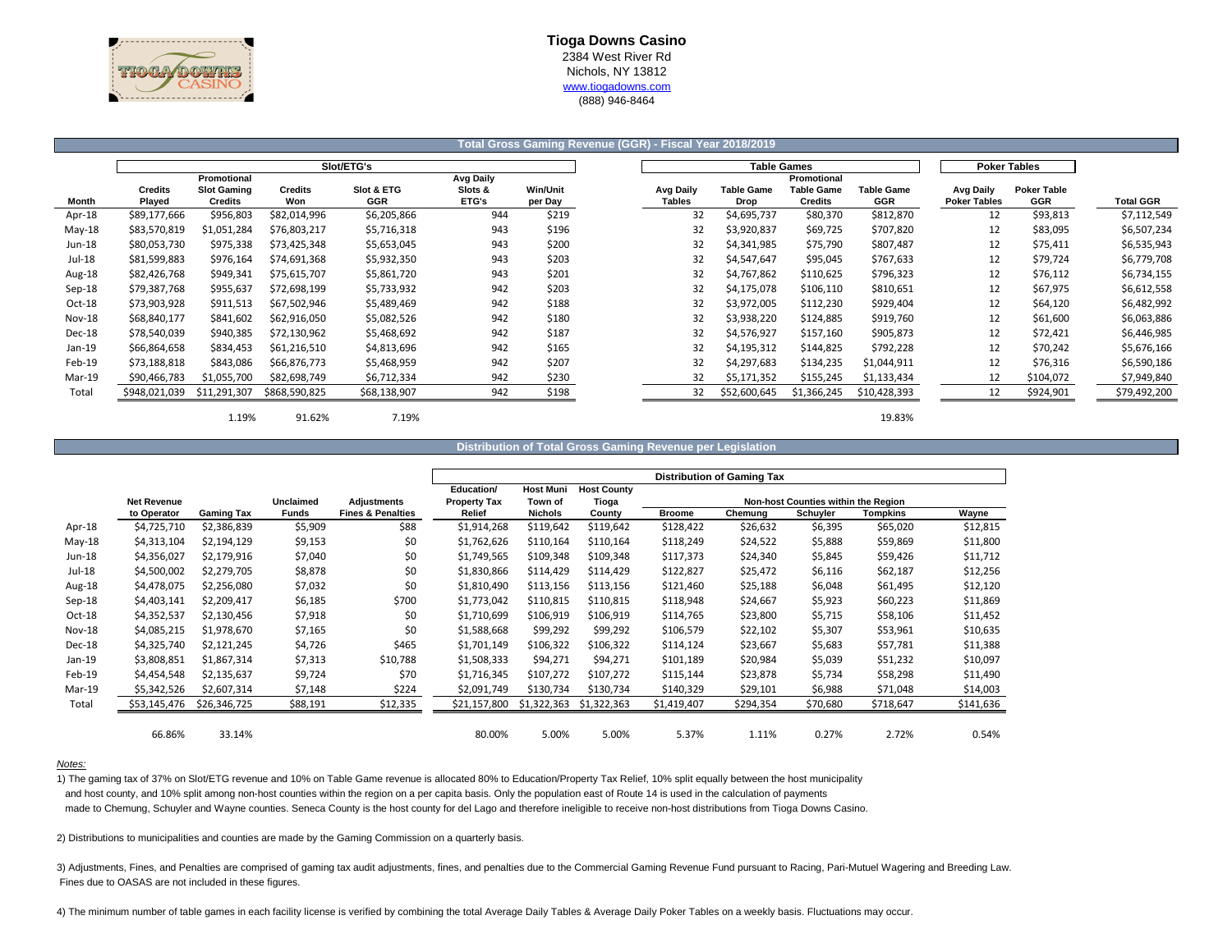

(888) 946-8464

## **Total Gross Gaming Revenue (GGR) - Fiscal Year 2018/2019**

|          |                |                    |               | Slot/ETG's   |                  |                 |           | <b>Table Games</b> |                   |                   |                     | <b>Poker Tables</b> |              |
|----------|----------------|--------------------|---------------|--------------|------------------|-----------------|-----------|--------------------|-------------------|-------------------|---------------------|---------------------|--------------|
|          |                | Promotional        |               |              | <b>Avg Daily</b> |                 |           |                    | Promotional       |                   |                     |                     |              |
|          | <b>Credits</b> | <b>Slot Gaming</b> | Credits       | Slot & ETG   | Slots &          | <b>Win/Unit</b> | Avg Daily | <b>Table Game</b>  | <b>Table Game</b> | <b>Table Game</b> | Avg Daily           | <b>Poker Table</b>  |              |
| Month    | Plaved         | Credits            | Won           | <b>GGR</b>   | <b>ETG's</b>     | per Day         | Tables    | Drop               | <b>Credits</b>    | <b>GGR</b>        | <b>Poker Tables</b> | GGR                 | Total GGR    |
| Apr-18   | \$89,177,666   | \$956,803          | \$82,014,996  | \$6,205,866  | 944              | \$219           | 32        | \$4,695,737        | \$80,370          | \$812,870         | 12                  | \$93,813            | \$7,112,549  |
| May-18   | \$83,570,819   | \$1,051,284        | \$76,803,217  | \$5,716,318  | 943              | \$196           | 32        | \$3,920,837        | \$69,725          | \$707,820         | 12                  | \$83,095            | \$6,507,234  |
| Jun-18   | \$80,053,730   | \$975,338          | \$73,425,348  | \$5,653,045  | 943              | \$200           | 32        | \$4,341,985        | \$75,790          | \$807,487         | 12                  | \$75,411            | \$6,535,943  |
| Jul-18   | \$81,599,883   | \$976,164          | \$74,691,368  | \$5,932,350  | 943              | \$203           | 32        | \$4,547,647        | \$95,045          | \$767,633         | 12                  | \$79,724            | \$6,779,708  |
| Aug-18   | \$82,426,768   | \$949,341          | \$75,615,707  | \$5,861,720  | 943              | \$201           | 32        | \$4,767,862        | \$110,625         | \$796,323         | 12                  | \$76,112            | \$6,734,155  |
| $Sep-18$ | \$79,387,768   | \$955,637          | \$72,698,199  | \$5,733,932  | 942              | \$203           | 32        | \$4,175,078        | \$106,110         | \$810,651         | 12                  | \$67,975            | \$6,612,558  |
| Oct-18   | \$73,903,928   | \$911,513          | \$67,502,946  | \$5,489,469  | 942              | \$188           | 32        | \$3,972,005        | \$112,230         | \$929,404         | 12                  | \$64,120            | \$6,482,992  |
| Nov-18   | \$68,840,177   | \$841,602          | \$62,916,050  | \$5,082,526  | 942              | \$180           | 32        | \$3,938,220        | \$124,885         | \$919,760         | 12                  | \$61,600            | \$6,063,886  |
| Dec-18   | \$78,540,039   | \$940,385          | \$72,130,962  | \$5,468,692  | 942              | \$187           | 32        | \$4,576,927        | \$157,160         | \$905,873         | 12                  | \$72,421            | \$6,446,985  |
| Jan-19   | \$66,864,658   | \$834,453          | \$61,216,510  | \$4,813,696  | 942              | \$165           | 32        | \$4,195,312        | \$144,825         | \$792,228         | 12                  | \$70,242            | \$5,676,166  |
| Feb-19   | \$73,188,818   | \$843,086          | \$66,876,773  | \$5,468,959  | 942              | \$207           | 32        | \$4,297,683        | \$134,235         | \$1,044,911       | 12                  | \$76,316            | \$6,590,186  |
| Mar-19   | \$90,466,783   | \$1,055,700        | \$82,698,749  | \$6,712,334  | 942              | \$230           | 32        | \$5,171,352        | \$155,245         | \$1,133,434       | 12                  | \$104,072           | \$7,949,840  |
| Total    | \$948,021,039  | \$11,291,307       | \$868,590,825 | \$68,138,907 | 942              | \$198           | 32        | \$52,600,645       | \$1,366,245       | \$10,428,393      | 12                  | \$924,901           | \$79,492,200 |

 $1.19\%$  91.62% 7.19% 7.19%

#### **Distribution of Total Gross Gaming Revenue per Legislation**

|               |                    |                   |              |                              |                                   |                             |                             |               | <b>Distribution of Gaming Tax</b> |                                     |           |           |
|---------------|--------------------|-------------------|--------------|------------------------------|-----------------------------------|-----------------------------|-----------------------------|---------------|-----------------------------------|-------------------------------------|-----------|-----------|
|               | <b>Net Revenue</b> |                   | Unclaimed    | <b>Adjustments</b>           | Education/<br><b>Property Tax</b> | <b>Host Muni</b><br>Town of | <b>Host County</b><br>Tioga |               |                                   | Non-host Counties within the Region |           |           |
|               | to Operator        | <b>Gaming Tax</b> | <b>Funds</b> | <b>Fines &amp; Penalties</b> | Relief                            | <b>Nichols</b>              | County                      | <b>Broome</b> | Chemung                           | Schuyler                            | Tompkins  | Wayne     |
| Apr-18        | \$4,725,710        | \$2,386,839       | \$5,909      | \$88                         | \$1,914,268                       | \$119,642                   | \$119,642                   | \$128,422     | \$26,632                          | \$6,395                             | \$65,020  | \$12,815  |
| $May-18$      | \$4,313,104        | \$2,194,129       | \$9,153      | \$0                          | \$1,762,626                       | \$110,164                   | \$110,164                   | \$118,249     | \$24,522                          | \$5,888                             | \$59,869  | \$11,800  |
| Jun-18        | \$4,356,027        | \$2,179,916       | \$7,040      | \$0                          | \$1,749,565                       | \$109,348                   | \$109,348                   | \$117,373     | \$24,340                          | \$5,845                             | \$59,426  | \$11,712  |
| Jul-18        | \$4,500,002        | \$2,279,705       | \$8,878      | \$0                          | \$1,830,866                       | \$114,429                   | \$114,429                   | \$122,827     | \$25,472                          | \$6,116                             | \$62,187  | \$12,256  |
| Aug-18        | \$4,478,075        | \$2,256,080       | \$7,032      | \$0                          | \$1,810,490                       | \$113,156                   | \$113,156                   | \$121,460     | \$25,188                          | \$6,048                             | \$61,495  | \$12,120  |
| $Sep-18$      | \$4,403,141        | \$2,209,417       | \$6,185      | \$700                        | \$1,773,042                       | \$110,815                   | \$110,815                   | \$118,948     | \$24,667                          | \$5,923                             | \$60,223  | \$11,869  |
| $Oct-18$      | \$4,352,537        | \$2,130,456       | \$7,918      | \$0                          | \$1,710,699                       | \$106,919                   | \$106,919                   | \$114,765     | \$23,800                          | \$5,715                             | \$58,106  | \$11,452  |
| <b>Nov-18</b> | \$4,085,215        | \$1,978,670       | \$7,165      | \$0                          | \$1,588,668                       | \$99,292                    | \$99,292                    | \$106,579     | \$22,102                          | \$5,307                             | \$53,961  | \$10,635  |
| Dec-18        | \$4,325,740        | \$2,121,245       | \$4,726      | \$465                        | \$1,701,149                       | \$106,322                   | \$106,322                   | \$114,124     | \$23,667                          | \$5,683                             | \$57,781  | \$11,388  |
| Jan-19        | \$3,808,851        | \$1,867,314       | \$7,313      | \$10,788                     | \$1,508,333                       | \$94,271                    | \$94,271                    | \$101,189     | \$20,984                          | \$5,039                             | \$51,232  | \$10,097  |
| Feb-19        | \$4,454,548        | \$2,135,637       | \$9,724      | \$70                         | \$1,716,345                       | \$107,272                   | \$107,272                   | \$115,144     | \$23,878                          | \$5,734                             | \$58,298  | \$11,490  |
| Mar-19        | \$5,342,526        | \$2,607,314       | \$7,148      | \$224                        | \$2,091,749                       | \$130,734                   | \$130,734                   | \$140,329     | \$29,101                          | \$6,988                             | \$71,048  | \$14,003  |
| Total         | \$53,145,476       | \$26,346,725      | \$88,191     | \$12,335                     | \$21,157,800                      | \$1,322,363                 | \$1,322,363                 | \$1,419,407   | \$294,354                         | \$70,680                            | \$718,647 | \$141,636 |
|               | 66.86%             | 33.14%            |              |                              | 80.00%                            | 5.00%                       | 5.00%                       | 5.37%         | 1.11%                             | 0.27%                               | 2.72%     | 0.54%     |

### *Notes:*

1) The gaming tax of 37% on Slot/ETG revenue and 10% on Table Game revenue is allocated 80% to Education/Property Tax Relief, 10% split equally between the host municipality and host county, and 10% split among non-host counties within the region on a per capita basis. Only the population east of Route 14 is used in the calculation of payments made to Chemung, Schuyler and Wayne counties. Seneca County is the host county for del Lago and therefore ineligible to receive non-host distributions from Tioga Downs Casino.

2) Distributions to municipalities and counties are made by the Gaming Commission on a quarterly basis.

3) Adjustments, Fines, and Penalties are comprised of gaming tax audit adjustments, fines, and penalties due to the Commercial Gaming Revenue Fund pursuant to Racing, Pari-Mutuel Wagering and Breeding Law. Fines due to OASAS are not included in these figures.

4) The minimum number of table games in each facility license is verified by combining the total Average Daily Tables & Average Daily Poker Tables on a weekly basis. Fluctuations may occur.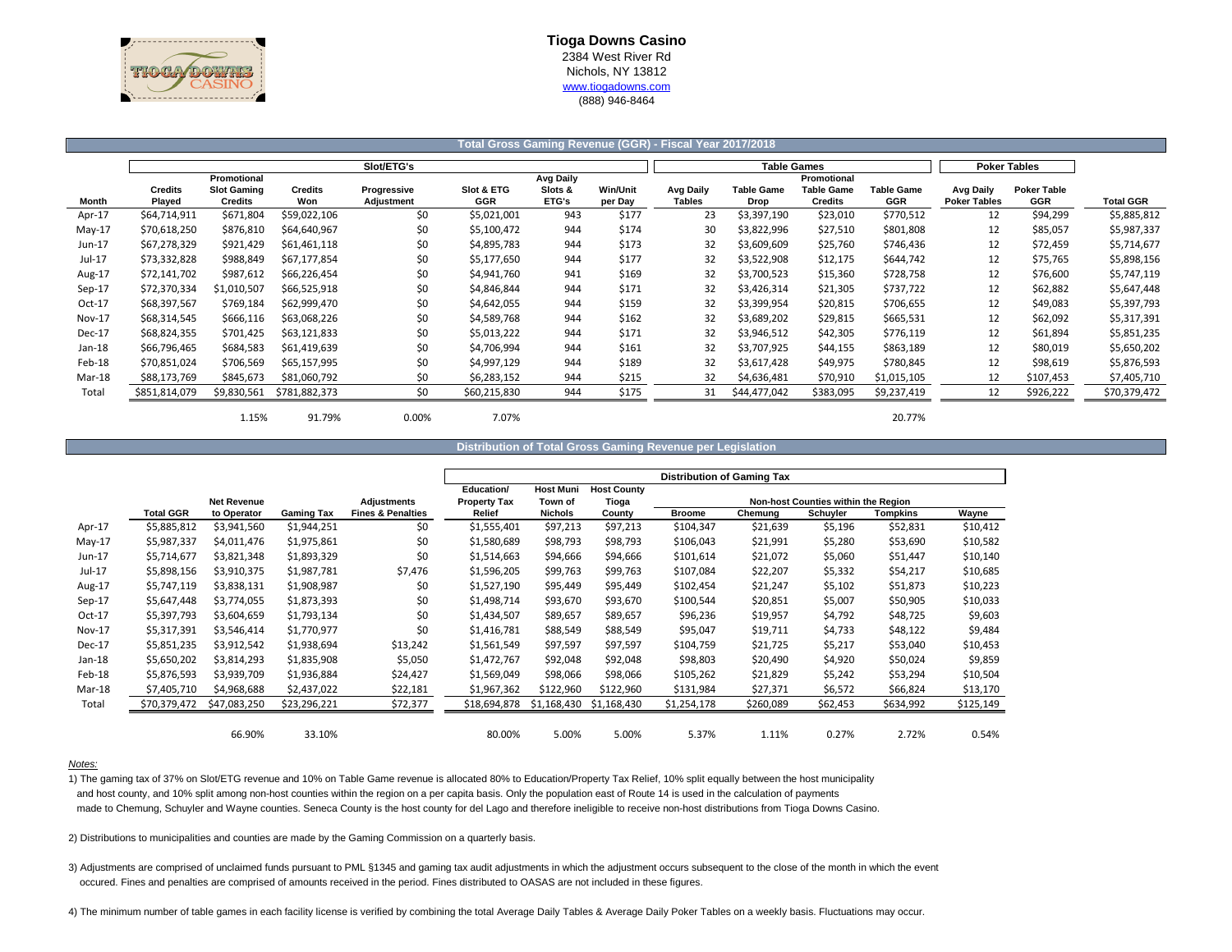

### **Total Gross Gaming Revenue (GGR) - Fiscal Year 2017/2018**

|          |                |                    |               | Slot/ETG's  |              |                  |                 |               | <b>Table Games</b> |                |                   |                     | <b>Poker Tables</b> |              |
|----------|----------------|--------------------|---------------|-------------|--------------|------------------|-----------------|---------------|--------------------|----------------|-------------------|---------------------|---------------------|--------------|
|          |                | Promotional        |               |             |              | <b>Avg Daily</b> |                 |               |                    | Promotional    |                   |                     |                     |              |
|          | <b>Credits</b> | <b>Slot Gaming</b> | Credits       | Progressive | Slot & ETG   | Slots &          | <b>Win/Unit</b> | Avg Daily     | <b>Table Game</b>  | Table Game     | <b>Table Game</b> | Avg Daily           | <b>Poker Table</b>  |              |
| Month    | Played         | <b>Credits</b>     | Won           | Adjustment  | <b>GGR</b>   | ETG's            | per Day         | <b>Tables</b> | Drop               | <b>Credits</b> | GGR               | <b>Poker Tables</b> | GGR                 | Total GGR    |
| Apr-17   | \$64,714,911   | \$671,804          | \$59,022,106  | \$0         | \$5,021,001  | 943              | \$177           | 23            | \$3,397,190        | \$23,010       | \$770,512         | 12                  | \$94,299            | \$5,885,812  |
| $May-17$ | \$70,618,250   | \$876,810          | \$64,640,967  | \$0         | \$5,100,472  | 944              | \$174           | 30            | \$3,822,996        | \$27,510       | \$801,808         | 12                  | \$85,057            | \$5,987,337  |
| Jun-17   | \$67,278,329   | \$921,429          | \$61,461,118  | \$0         | \$4,895,783  | 944              | \$173           | 32            | \$3,609,609        | \$25,760       | \$746,436         | 12                  | \$72,459            | \$5,714,677  |
| Jul-17   | \$73,332,828   | \$988,849          | \$67,177,854  | \$0         | \$5,177,650  | 944              | \$177           | 32            | \$3,522,908        | \$12,175       | \$644,742         | 12                  | \$75,765            | \$5,898,156  |
| Aug-17   | \$72,141,702   | \$987,612          | \$66,226,454  | \$0         | \$4.941.760  | 941              | \$169           | 32            | \$3,700,523        | \$15,360       | \$728,758         | 12                  | \$76,600            | \$5,747,119  |
| $Sep-17$ | \$72,370,334   | \$1,010,507        | \$66,525,918  | \$0         | \$4,846,844  | 944              | \$171           | 32            | \$3,426,314        | \$21,305       | \$737,722         | 12                  | \$62,882            | \$5,647,448  |
| Oct-17   | \$68,397,567   | \$769,184          | \$62,999,470  | \$0         | \$4,642,055  | 944              | \$159           | 32            | \$3,399,954        | \$20,815       | \$706,655         | 12                  | \$49,083            | \$5,397,793  |
| Nov-17   | \$68,314,545   | \$666,116          | \$63,068,226  | \$0         | \$4,589,768  | 944              | \$162           | 32            | \$3,689,202        | \$29,815       | \$665,531         | 12                  | \$62,092            | \$5,317,391  |
| Dec-17   | \$68,824,355   | \$701,425          | \$63,121,833  | \$0         | \$5,013,222  | 944              | \$171           | 32            | \$3,946,512        | \$42,305       | \$776,119         | 12                  | \$61,894            | \$5,851,235  |
| Jan-18   | \$66,796,465   | \$684,583          | \$61,419,639  | \$0         | \$4.706.994  | 944              | \$161           | 32            | \$3,707,925        | \$44,155       | \$863,189         | 12                  | \$80,019            | \$5,650,202  |
| Feb-18   | \$70,851,024   | \$706.569          | \$65,157,995  | \$0         | \$4,997,129  | 944              | \$189           | 32            | \$3,617,428        | \$49,975       | \$780,845         | 12                  | \$98,619            | \$5,876,593  |
| Mar-18   | \$88,173,769   | \$845,673          | \$81,060,792  | \$0         | \$6,283,152  | 944              | \$215           | 32            | \$4,636,481        | \$70,910       | \$1,015,105       | 12                  | \$107,453           | \$7,405,710  |
| Total    | \$851,814,079  | \$9,830,561        | \$781,882,373 | \$0         | \$60,215,830 | 944              | \$175           | 31            | \$44,477,042       | \$383,095      | \$9,237,419       | 12                  | \$926,222           | \$70,379,472 |
|          |                |                    |               |             |              |                  |                 |               |                    |                |                   |                     |                     |              |

1.15% 91.79% 0.00% 7.07% 20.77%

#### **Distribution of Total Gross Gaming Revenue per Legislation**

|               |                  |                    |                   |                              |                     |                  |                    | <b>Distribution of Gaming Tax</b> |           |                                     |           |           |
|---------------|------------------|--------------------|-------------------|------------------------------|---------------------|------------------|--------------------|-----------------------------------|-----------|-------------------------------------|-----------|-----------|
|               |                  |                    |                   |                              | Education/          | <b>Host Muni</b> | <b>Host County</b> |                                   |           |                                     |           |           |
|               |                  | <b>Net Revenue</b> |                   | Adjustments                  | <b>Property Tax</b> | Town of          | Tioga              |                                   |           | Non-host Counties within the Region |           |           |
|               | <b>Total GGR</b> | to Operator        | <b>Gaming Tax</b> | <b>Fines &amp; Penalties</b> | Relief              | <b>Nichols</b>   | County             | <b>Broome</b>                     | Chemung   | Schuyler                            | Tompkins  | Wayne     |
| Apr-17        | \$5,885,812      | \$3,941,560        | \$1,944,251       | \$0                          | \$1,555,401         | \$97,213         | \$97,213           | \$104,347                         | \$21,639  | \$5,196                             | \$52,831  | \$10,412  |
| $May-17$      | \$5,987,337      | \$4,011,476        | \$1,975,861       | \$0                          | \$1,580,689         | \$98,793         | \$98,793           | \$106,043                         | \$21,991  | \$5,280                             | \$53,690  | \$10,582  |
| Jun-17        | \$5,714,677      | \$3,821,348        | \$1,893,329       | \$0                          | \$1,514,663         | \$94,666         | \$94,666           | \$101,614                         | \$21,072  | \$5,060                             | \$51,447  | \$10,140  |
| Jul-17        | \$5,898,156      | \$3,910,375        | \$1,987,781       | \$7,476                      | \$1,596,205         | \$99,763         | \$99,763           | \$107,084                         | \$22,207  | \$5,332                             | \$54,217  | \$10,685  |
| Aug-17        | \$5,747,119      | \$3,838,131        | \$1,908,987       | \$0                          | \$1,527,190         | \$95,449         | \$95,449           | \$102,454                         | \$21,247  | \$5,102                             | \$51,873  | \$10,223  |
| $Sep-17$      | \$5,647,448      | \$3,774,055        | \$1,873,393       | \$0                          | \$1,498,714         | \$93,670         | \$93,670           | \$100,544                         | \$20,851  | \$5,007                             | \$50,905  | \$10,033  |
| Oct-17        | \$5,397,793      | \$3,604,659        | \$1,793,134       | \$0                          | \$1,434,507         | \$89,657         | \$89,657           | \$96,236                          | \$19,957  | \$4,792                             | \$48,725  | \$9,603   |
| <b>Nov-17</b> | \$5,317,391      | \$3,546,414        | \$1,770,977       | \$0                          | \$1,416,781         | \$88,549         | \$88,549           | \$95,047                          | \$19,711  | \$4,733                             | \$48,122  | \$9,484   |
| Dec-17        | \$5,851,235      | \$3,912,542        | \$1,938,694       | \$13,242                     | \$1,561,549         | \$97,597         | \$97,597           | \$104,759                         | \$21,725  | \$5,217                             | \$53,040  | \$10,453  |
| $Jan-18$      | \$5,650,202      | \$3,814,293        | \$1,835,908       | \$5,050                      | \$1,472,767         | \$92,048         | \$92,048           | \$98,803                          | \$20,490  | \$4,920                             | \$50,024  | \$9,859   |
| Feb-18        | \$5,876,593      | \$3,939,709        | \$1,936,884       | \$24,427                     | \$1,569,049         | \$98,066         | \$98,066           | \$105,262                         | \$21,829  | \$5,242                             | \$53,294  | \$10,504  |
| Mar-18        | \$7,405,710      | \$4,968,688        | \$2,437,022       | \$22,181                     | \$1,967,362         | \$122,960        | \$122,960          | \$131,984                         | \$27,371  | \$6,572                             | \$66,824  | \$13,170  |
| Total         | \$70,379,472     | \$47,083,250       | \$23,296,221      | \$72,377                     | \$18,694,878        | \$1,168,430      | \$1,168,430        | \$1,254,178                       | \$260,089 | \$62,453                            | \$634,992 | \$125,149 |
|               |                  |                    |                   |                              |                     |                  |                    |                                   |           |                                     |           |           |
|               |                  | 66.90%             | 33.10%            |                              | 80.00%              | 5.00%            | 5.00%              | 5.37%                             | 1.11%     | 0.27%                               | 2.72%     | 0.54%     |

### *Notes:*

1) The gaming tax of 37% on Slot/ETG revenue and 10% on Table Game revenue is allocated 80% to Education/Property Tax Relief, 10% split equally between the host municipality and host county, and 10% split among non-host counties within the region on a per capita basis. Only the population east of Route 14 is used in the calculation of payments made to Chemung, Schuyler and Wayne counties. Seneca County is the host county for del Lago and therefore ineligible to receive non-host distributions from Tioga Downs Casino.

2) Distributions to municipalities and counties are made by the Gaming Commission on a quarterly basis.

3) Adjustments are comprised of unclaimed funds pursuant to PML §1345 and gaming tax audit adjustments in which the adjustment occurs subsequent to the close of the month in which the event occured. Fines and penalties are comprised of amounts received in the period. Fines distributed to OASAS are not included in these figures.

4) The minimum number of table games in each facility license is verified by combining the total Average Daily Tables & Average Daily Poker Tables on a weekly basis. Fluctuations may occur.